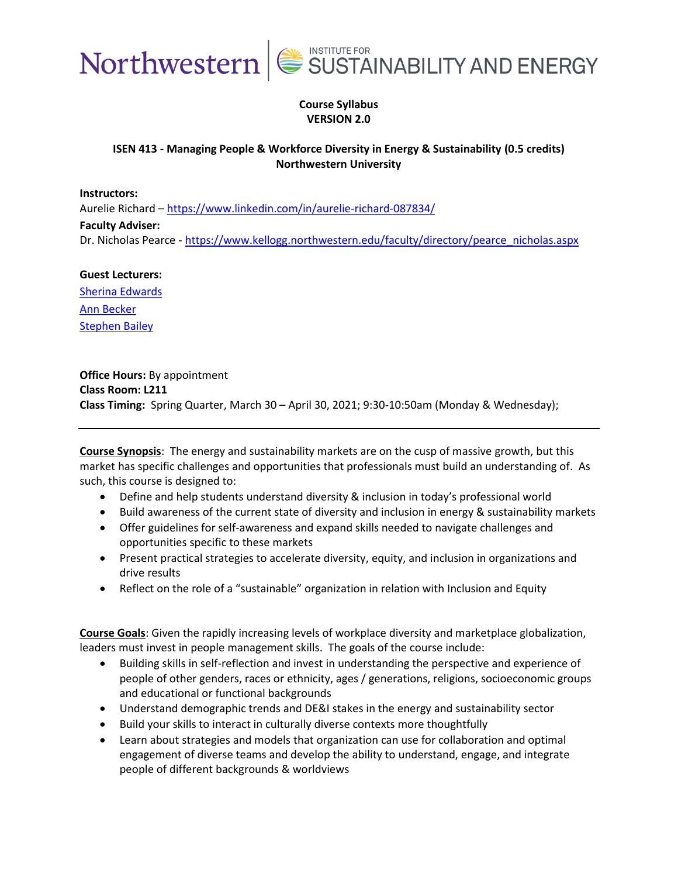

#### **Course Syllabus VERSION 2.0**

#### **ISEN 413 - Managing People & Workforce Diversity in Energy & Sustainability (0.5 credits) Northwestern University**

**Instructors:** 

Aurelie Richard – <https://www.linkedin.com/in/aurelie-richard-087834/> **Faculty Adviser:**  Dr. Nicholas Pearce - [https://www.kellogg.northwestern.edu/faculty/directory/pearce\\_nicholas.aspx](https://www.kellogg.northwestern.edu/faculty/directory/pearce_nicholas.aspx)

#### **Guest Lecturers:** [Sherina Edwards](https://www.linkedin.com/in/sherinaedwards/)

[Ann Becker](https://www.linkedin.com/in/ann-becker-98534377/) Stephen Bailey

**Office Hours:** By appointment **Class Room: L211 Class Timing:** Spring Quarter, March 30 – April 30, 2021; 9:30-10:50am (Monday & Wednesday);

**Course Synopsis**:The energy and sustainability markets are on the cusp of massive growth, but this market has specific challenges and opportunities that professionals must build an understanding of. As such, this course is designed to:

- Define and help students understand diversity & inclusion in today's professional world
- Build awareness of the current state of diversity and inclusion in energy & sustainability markets
- Offer guidelines for self-awareness and expand skills needed to navigate challenges and opportunities specific to these markets
- Present practical strategies to accelerate diversity, equity, and inclusion in organizations and drive results
- Reflect on the role of a "sustainable" organization in relation with Inclusion and Equity

**Course Goals**: Given the rapidly increasing levels of workplace diversity and marketplace globalization, leaders must invest in people management skills. The goals of the course include:

- Building skills in self-reflection and invest in understanding the perspective and experience of people of other genders, races or ethnicity, ages / generations, religions, socioeconomic groups and educational or functional backgrounds
- Understand demographic trends and DE&I stakes in the energy and sustainability sector
- Build your skills to interact in culturally diverse contexts more thoughtfully
- Learn about strategies and models that organization can use for collaboration and optimal engagement of diverse teams and develop the ability to understand, engage, and integrate people of different backgrounds & worldviews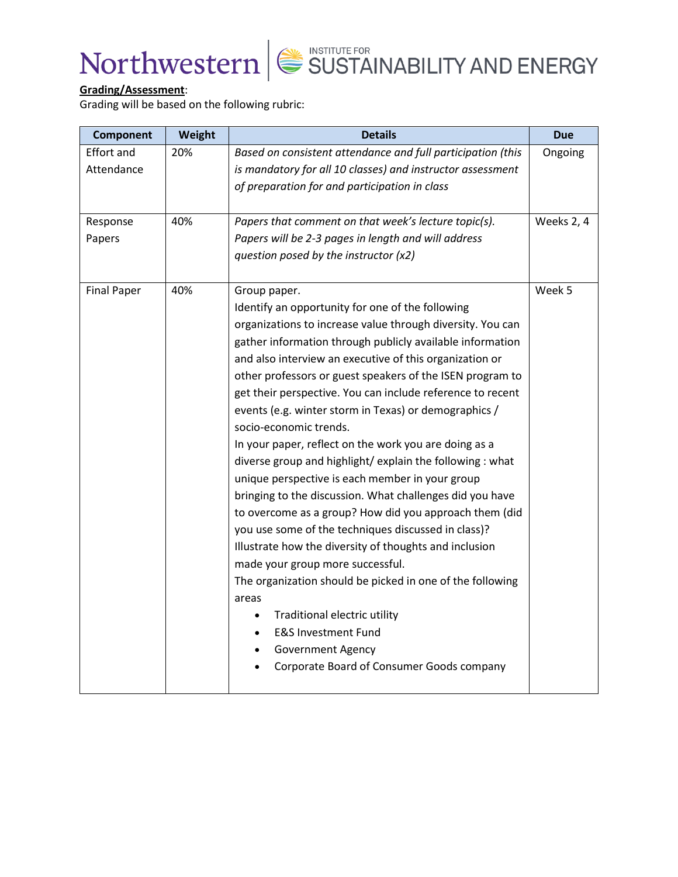

### **Grading/Assessment**:

Grading will be based on the following rubric:

| <b>Component</b>   | Weight | <b>Details</b>                                              | <b>Due</b> |
|--------------------|--------|-------------------------------------------------------------|------------|
| <b>Effort and</b>  | 20%    | Based on consistent attendance and full participation (this | Ongoing    |
| Attendance         |        | is mandatory for all 10 classes) and instructor assessment  |            |
|                    |        | of preparation for and participation in class               |            |
|                    |        |                                                             |            |
| Response           | 40%    | Papers that comment on that week's lecture topic(s).        | Weeks 2, 4 |
| Papers             |        | Papers will be 2-3 pages in length and will address         |            |
|                    |        | question posed by the instructor (x2)                       |            |
|                    |        |                                                             |            |
| <b>Final Paper</b> | 40%    | Group paper.                                                | Week 5     |
|                    |        | Identify an opportunity for one of the following            |            |
|                    |        | organizations to increase value through diversity. You can  |            |
|                    |        | gather information through publicly available information   |            |
|                    |        | and also interview an executive of this organization or     |            |
|                    |        | other professors or guest speakers of the ISEN program to   |            |
|                    |        | get their perspective. You can include reference to recent  |            |
|                    |        | events (e.g. winter storm in Texas) or demographics /       |            |
|                    |        | socio-economic trends.                                      |            |
|                    |        | In your paper, reflect on the work you are doing as a       |            |
|                    |        | diverse group and highlight/ explain the following : what   |            |
|                    |        | unique perspective is each member in your group             |            |
|                    |        | bringing to the discussion. What challenges did you have    |            |
|                    |        | to overcome as a group? How did you approach them (did      |            |
|                    |        | you use some of the techniques discussed in class)?         |            |
|                    |        | Illustrate how the diversity of thoughts and inclusion      |            |
|                    |        | made your group more successful.                            |            |
|                    |        | The organization should be picked in one of the following   |            |
|                    |        | areas                                                       |            |
|                    |        | Traditional electric utility                                |            |
|                    |        | <b>E&amp;S Investment Fund</b>                              |            |
|                    |        | <b>Government Agency</b>                                    |            |
|                    |        | Corporate Board of Consumer Goods company                   |            |
|                    |        |                                                             |            |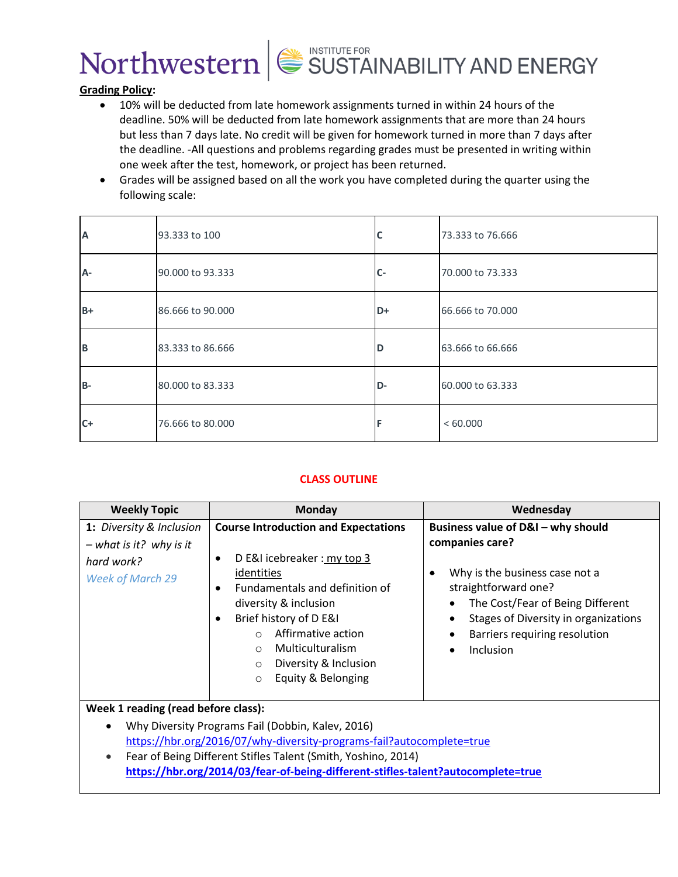

#### **Grading Policy:**

- 10% will be deducted from late homework assignments turned in within 24 hours of the deadline. 50% will be deducted from late homework assignments that are more than 24 hours but less than 7 days late. No credit will be given for homework turned in more than 7 days after the deadline. -All questions and problems regarding grades must be presented in writing within one week after the test, homework, or project has been returned.
- Grades will be assigned based on all the work you have completed during the quarter using the following scale:

| A     | 93.333 to 100    | C    | 73.333 to 76.666 |
|-------|------------------|------|------------------|
| A-    | 90.000 to 93.333 | $C-$ | 70.000 to 73.333 |
| $B+$  | 86,666 to 90,000 | $D+$ | 66.666 to 70.000 |
| B     | 83.333 to 86.666 | D    | 63.666 to 66.666 |
| $B -$ | 80.000 to 83.333 | D-   | 60.000 to 63.333 |
| $C+$  | 76.666 to 80.000 |      | <60.000          |

#### **CLASS OUTLINE**

| <b>Weekly Topic</b>                                                                            | <b>Monday</b>                                                                                                                                                                                                                                                                                                                   | Wednesday                                                                                                                                                                                                                                      |  |  |
|------------------------------------------------------------------------------------------------|---------------------------------------------------------------------------------------------------------------------------------------------------------------------------------------------------------------------------------------------------------------------------------------------------------------------------------|------------------------------------------------------------------------------------------------------------------------------------------------------------------------------------------------------------------------------------------------|--|--|
| 1: Diversity & Inclusion<br>$-$ what is it? why is it<br>hard work?<br><b>Week of March 29</b> | <b>Course Introduction and Expectations</b><br>D E&I icebreaker: my top 3<br>identities<br>Fundamentals and definition of<br>$\bullet$<br>diversity & inclusion<br>Brief history of D E&I<br>Affirmative action<br>$\Omega$<br>Multiculturalism<br>$\circ$<br>Diversity & Inclusion<br>$\circ$<br>Equity & Belonging<br>$\circ$ | Business value of D&I - why should<br>companies care?<br>Why is the business case not a<br>٠<br>straightforward one?<br>The Cost/Fear of Being Different<br>Stages of Diversity in organizations<br>Barriers requiring resolution<br>Inclusion |  |  |
| Week 1 reading (read before class):                                                            |                                                                                                                                                                                                                                                                                                                                 |                                                                                                                                                                                                                                                |  |  |
|                                                                                                | Why Diversity Programs Fail (Dobbin, Kalev, 2016)                                                                                                                                                                                                                                                                               |                                                                                                                                                                                                                                                |  |  |
| https://hbr.org/2016/07/why-diversity-programs-fail?autocomplete=true                          |                                                                                                                                                                                                                                                                                                                                 |                                                                                                                                                                                                                                                |  |  |
| Fear of Being Different Stifles Talent (Smith, Yoshino, 2014)<br>$\bullet$                     |                                                                                                                                                                                                                                                                                                                                 |                                                                                                                                                                                                                                                |  |  |
| https://hbr.org/2014/03/fear-of-being-different-stifles-talent?autocomplete=true               |                                                                                                                                                                                                                                                                                                                                 |                                                                                                                                                                                                                                                |  |  |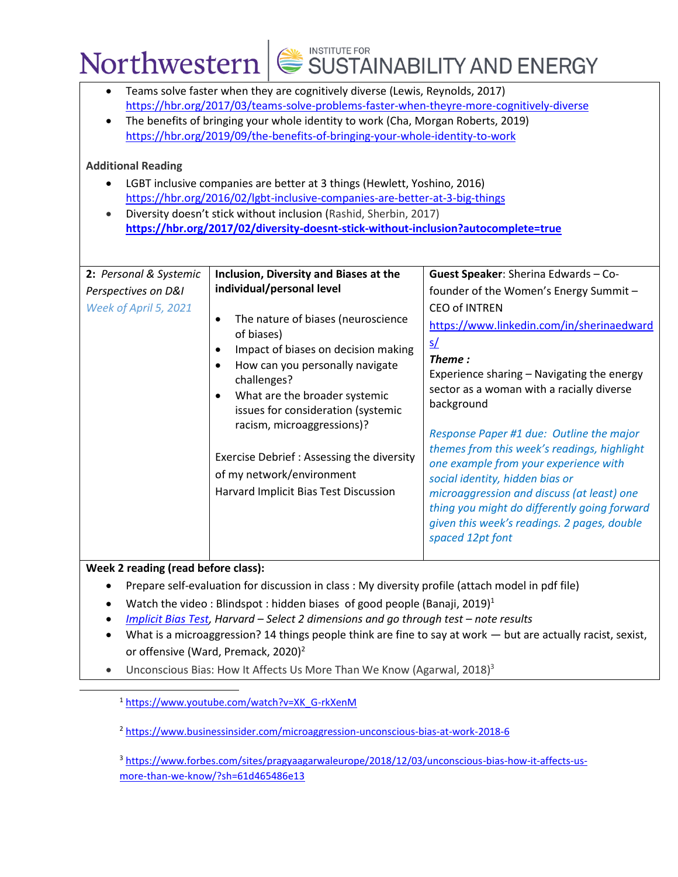|                                                                                                                                                                                                                                                                                                                                                                                                                                                                                                                                                                                                                                                                                                 |                                                                     |                                                                                                                                                                                                                                                                                                                                                                                 | Northwestern $\left \bigotimes^{\text{INSTITUTE FOR}}$ SUSTAINABILITY AND ENERGY                                                                                                                                                                                                                                                                                                                                                                                                                                                                                                                                     |  |
|-------------------------------------------------------------------------------------------------------------------------------------------------------------------------------------------------------------------------------------------------------------------------------------------------------------------------------------------------------------------------------------------------------------------------------------------------------------------------------------------------------------------------------------------------------------------------------------------------------------------------------------------------------------------------------------------------|---------------------------------------------------------------------|---------------------------------------------------------------------------------------------------------------------------------------------------------------------------------------------------------------------------------------------------------------------------------------------------------------------------------------------------------------------------------|----------------------------------------------------------------------------------------------------------------------------------------------------------------------------------------------------------------------------------------------------------------------------------------------------------------------------------------------------------------------------------------------------------------------------------------------------------------------------------------------------------------------------------------------------------------------------------------------------------------------|--|
| Teams solve faster when they are cognitively diverse (Lewis, Reynolds, 2017)<br>https://hbr.org/2017/03/teams-solve-problems-faster-when-theyre-more-cognitively-diverse<br>The benefits of bringing your whole identity to work (Cha, Morgan Roberts, 2019)<br>https://hbr.org/2019/09/the-benefits-of-bringing-your-whole-identity-to-work<br><b>Additional Reading</b><br>LGBT inclusive companies are better at 3 things (Hewlett, Yoshino, 2016)<br>https://hbr.org/2016/02/lgbt-inclusive-companies-are-better-at-3-big-things<br>Diversity doesn't stick without inclusion (Rashid, Sherbin, 2017)<br>https://hbr.org/2017/02/diversity-doesnt-stick-without-inclusion?autocomplete=true |                                                                     |                                                                                                                                                                                                                                                                                                                                                                                 |                                                                                                                                                                                                                                                                                                                                                                                                                                                                                                                                                                                                                      |  |
| 2: Personal & Systemic<br>Perspectives on D&I<br>Week of April 5, 2021                                                                                                                                                                                                                                                                                                                                                                                                                                                                                                                                                                                                                          | individual/personal level<br>of biases)<br>$\bullet$<br>challenges? | Inclusion, Diversity and Biases at the<br>The nature of biases (neuroscience<br>Impact of biases on decision making<br>How can you personally navigate<br>What are the broader systemic<br>issues for consideration (systemic<br>racism, microaggressions)?<br>Exercise Debrief : Assessing the diversity<br>of my network/environment<br>Harvard Implicit Bias Test Discussion | Guest Speaker: Sherina Edwards - Co-<br>founder of the Women's Energy Summit -<br><b>CEO of INTREN</b><br>https://www.linkedin.com/in/sherinaedward<br>s/<br>Theme:<br>Experience sharing - Navigating the energy<br>sector as a woman with a racially diverse<br>background<br>Response Paper #1 due: Outline the major<br>themes from this week's readings, highlight<br>one example from your experience with<br>social identity, hidden bias or<br>microaggression and discuss (at least) one<br>thing you might do differently going forward<br>given this week's readings. 2 pages, double<br>spaced 12pt font |  |

**Week 2 reading (read before class):** 

- Prepare self-evaluation for discussion in class : My diversity profile (attach model in pdf file)
- Watch the video: Blindspot: hidden biases of good people (Banaji, 2019)<sup>1</sup>
- *[Implicit Bias Test,](https://implicit.harvard.edu/implicit/takeatest.html) Harvard Select 2 dimensions and go through test note results*
- What is a microaggression? 14 things people think are fine to say at work but are actually racist, sexist, or offensive (Ward, Premack, 2020)<sup>2</sup>
- Unconscious Bias: How It Affects Us More Than We Know (Agarwal, 2018)<sup>3</sup>

<sup>1</sup> [https://www.youtube.com/watch?v=XK\\_G-rkXenM](https://www.youtube.com/watch?v=XK_G-rkXenM)

<sup>2</sup> <https://www.businessinsider.com/microaggression-unconscious-bias-at-work-2018-6>

<sup>3</sup> [https://www.forbes.com/sites/pragyaagarwaleurope/2018/12/03/unconscious-bias-how-it-affects-us](https://www.forbes.com/sites/pragyaagarwaleurope/2018/12/03/unconscious-bias-how-it-affects-us-more-than-we-know/?sh=61d465486e13)[more-than-we-know/?sh=61d465486e13](https://www.forbes.com/sites/pragyaagarwaleurope/2018/12/03/unconscious-bias-how-it-affects-us-more-than-we-know/?sh=61d465486e13)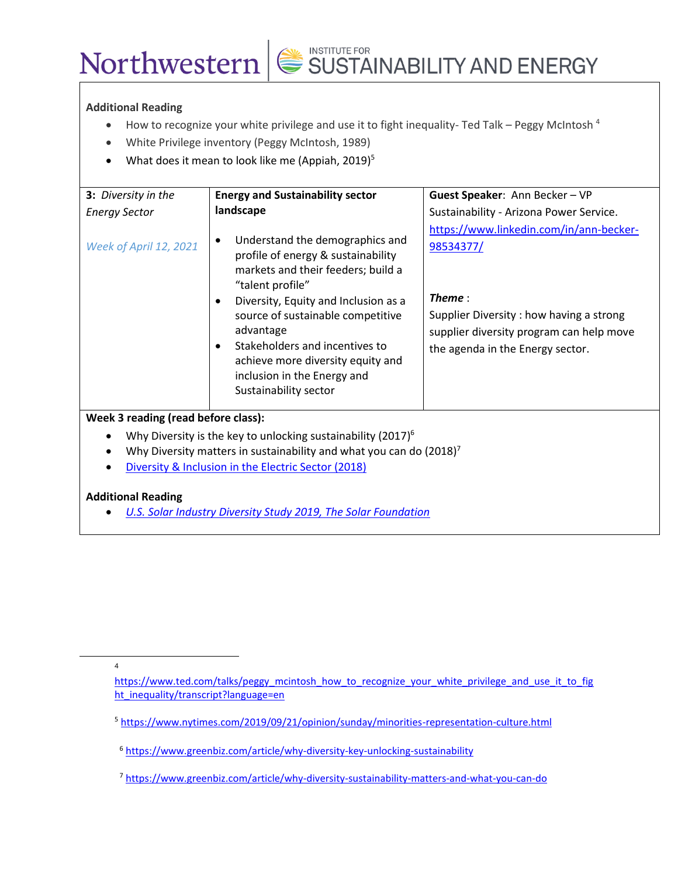#### **Additional Reading**

• How to recognize your white privilege and use it to fight inequality-Ted Talk – Peggy McIntosh<sup>4</sup>

SUSTAINABILITY AND ENERGY

- White Privilege inventory (Peggy McIntosh, 1989)
- What does it mean to look like me (Appiah, 2019)<sup>5</sup>

| 3: Diversity in the                                                                                | <b>Energy and Sustainability sector</b>                                                                                                                                                                                                                                                                                                                  | Guest Speaker: Ann Becker - VP                                                                                                                                                             |  |  |
|----------------------------------------------------------------------------------------------------|----------------------------------------------------------------------------------------------------------------------------------------------------------------------------------------------------------------------------------------------------------------------------------------------------------------------------------------------------------|--------------------------------------------------------------------------------------------------------------------------------------------------------------------------------------------|--|--|
| <b>Energy Sector</b>                                                                               | landscape                                                                                                                                                                                                                                                                                                                                                | Sustainability - Arizona Power Service.                                                                                                                                                    |  |  |
| Week of April 12, 2021                                                                             | Understand the demographics and<br>profile of energy & sustainability<br>markets and their feeders; build a<br>"talent profile"<br>Diversity, Equity and Inclusion as a<br>source of sustainable competitive<br>advantage<br>Stakeholders and incentives to<br>achieve more diversity equity and<br>inclusion in the Energy and<br>Sustainability sector | https://www.linkedin.com/in/ann-becker-<br>98534377/<br>Theme :<br>Supplier Diversity: how having a strong<br>supplier diversity program can help move<br>the agenda in the Energy sector. |  |  |
| Week 3 reading (read before class):                                                                |                                                                                                                                                                                                                                                                                                                                                          |                                                                                                                                                                                            |  |  |
| Why Diversity is the key to unlocking sustainability (2017) <sup>6</sup><br>٠                      |                                                                                                                                                                                                                                                                                                                                                          |                                                                                                                                                                                            |  |  |
| Why Diversity matters in sustainability and what you can do $(2018)^7$                             |                                                                                                                                                                                                                                                                                                                                                          |                                                                                                                                                                                            |  |  |
| Diversity & Inclusion in the Electric Sector (2018)                                                |                                                                                                                                                                                                                                                                                                                                                          |                                                                                                                                                                                            |  |  |
| <b>Additional Reading</b><br><b>U.S. Solar Industry Diversity Study 2019, The Solar Foundation</b> |                                                                                                                                                                                                                                                                                                                                                          |                                                                                                                                                                                            |  |  |

4

[https://www.ted.com/talks/peggy\\_mcintosh\\_how\\_to\\_recognize\\_your\\_white\\_privilege\\_and\\_use\\_it\\_to\\_fig](https://www.ted.com/talks/peggy_mcintosh_how_to_recognize_your_white_privilege_and_use_it_to_fight_inequality/transcript?language=en) [ht\\_inequality/transcript?language=en](https://www.ted.com/talks/peggy_mcintosh_how_to_recognize_your_white_privilege_and_use_it_to_fight_inequality/transcript?language=en)

<sup>5</sup> <https://www.nytimes.com/2019/09/21/opinion/sunday/minorities-representation-culture.html>

<sup>7</sup> <https://www.greenbiz.com/article/why-diversity-sustainability-matters-and-what-you-can-do>

<sup>6</sup> <https://www.greenbiz.com/article/why-diversity-key-unlocking-sustainability>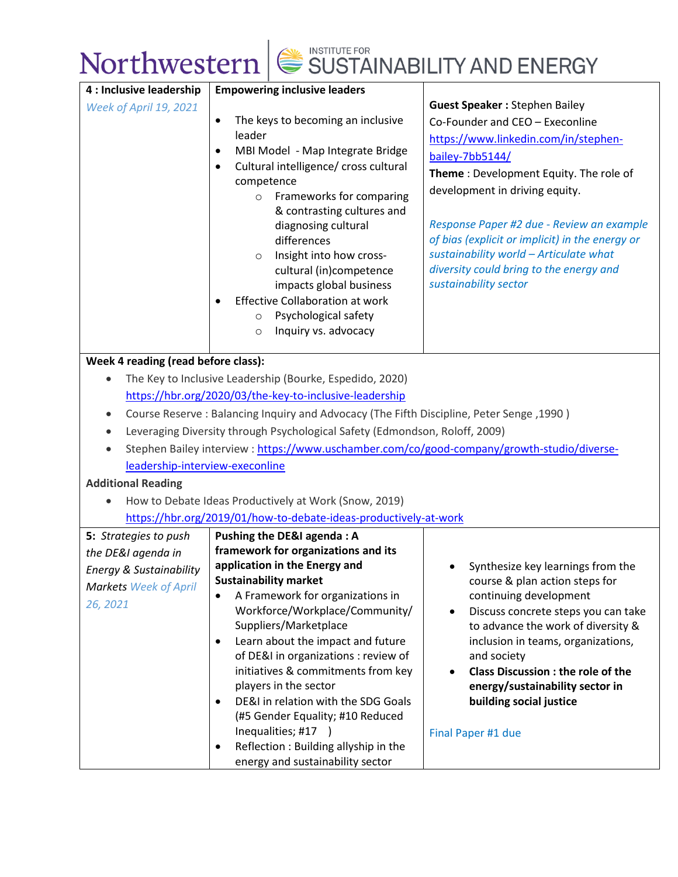| 4 : Inclusive leadership                                                                  | <b>Empowering inclusive leaders</b>                                                        |                                                            |  |
|-------------------------------------------------------------------------------------------|--------------------------------------------------------------------------------------------|------------------------------------------------------------|--|
| Week of April 19, 2021                                                                    |                                                                                            | <b>Guest Speaker: Stephen Bailey</b>                       |  |
|                                                                                           | The keys to becoming an inclusive<br>$\bullet$<br>leader                                   | Co-Founder and CEO - Execonline                            |  |
|                                                                                           |                                                                                            | https://www.linkedin.com/in/stephen-                       |  |
|                                                                                           | MBI Model - Map Integrate Bridge<br>$\bullet$                                              | bailey-7bb5144/                                            |  |
|                                                                                           | Cultural intelligence/ cross cultural<br>٠                                                 | Theme: Development Equity. The role of                     |  |
|                                                                                           | competence<br>Frameworks for comparing<br>$\circ$                                          | development in driving equity.                             |  |
|                                                                                           | & contrasting cultures and                                                                 |                                                            |  |
|                                                                                           | diagnosing cultural                                                                        | Response Paper #2 due - Review an example                  |  |
|                                                                                           | differences                                                                                | of bias (explicit or implicit) in the energy or            |  |
|                                                                                           | Insight into how cross-<br>$\circ$                                                         | sustainability world - Articulate what                     |  |
|                                                                                           | cultural (in)competence                                                                    | diversity could bring to the energy and                    |  |
|                                                                                           | impacts global business                                                                    | sustainability sector                                      |  |
|                                                                                           | <b>Effective Collaboration at work</b>                                                     |                                                            |  |
|                                                                                           | Psychological safety<br>$\circ$                                                            |                                                            |  |
|                                                                                           | Inquiry vs. advocacy<br>$\circ$                                                            |                                                            |  |
|                                                                                           |                                                                                            |                                                            |  |
| Week 4 reading (read before class):                                                       |                                                                                            |                                                            |  |
|                                                                                           | The Key to Inclusive Leadership (Bourke, Espedido, 2020)                                   |                                                            |  |
|                                                                                           | https://hbr.org/2020/03/the-key-to-inclusive-leadership                                    |                                                            |  |
| Course Reserve : Balancing Inquiry and Advocacy (The Fifth Discipline, Peter Senge, 1990) |                                                                                            |                                                            |  |
|                                                                                           | Leveraging Diversity through Psychological Safety (Edmondson, Roloff, 2009)                |                                                            |  |
|                                                                                           | Stephen Bailey interview: https://www.uschamber.com/co/good-company/growth-studio/diverse- |                                                            |  |
| leadership-interview-execonline                                                           |                                                                                            |                                                            |  |
| <b>Additional Reading</b>                                                                 |                                                                                            |                                                            |  |
|                                                                                           | How to Debate Ideas Productively at Work (Snow, 2019)                                      |                                                            |  |
|                                                                                           | https://hbr.org/2019/01/how-to-debate-ideas-productively-at-work                           |                                                            |  |
| 5: Strategies to push                                                                     | <b>Pushing the DE&amp;I agenda: A</b>                                                      |                                                            |  |
| the DE&I agenda in                                                                        | framework for organizations and its                                                        |                                                            |  |
| <b>Energy &amp; Sustainability</b>                                                        | application in the Energy and                                                              | Synthesize key learnings from the                          |  |
| <b>Markets Week of April</b>                                                              | <b>Sustainability market</b>                                                               | course & plan action steps for                             |  |
| 26, 2021                                                                                  | A Framework for organizations in                                                           | continuing development                                     |  |
|                                                                                           | Workforce/Workplace/Community/                                                             | Discuss concrete steps you can take                        |  |
|                                                                                           | Suppliers/Marketplace                                                                      | to advance the work of diversity &                         |  |
|                                                                                           | Learn about the impact and future<br>$\bullet$                                             | inclusion in teams, organizations,                         |  |
|                                                                                           | of DE&I in organizations : review of                                                       | and society                                                |  |
|                                                                                           | initiatives & commitments from key                                                         | <b>Class Discussion : the role of the</b>                  |  |
|                                                                                           | players in the sector<br>DE&I in relation with the SDG Goals<br>$\bullet$                  | energy/sustainability sector in<br>building social justice |  |
|                                                                                           | (#5 Gender Equality; #10 Reduced                                                           |                                                            |  |
|                                                                                           | Inequalities; #17 )                                                                        |                                                            |  |
|                                                                                           | Reflection : Building allyship in the<br>$\bullet$                                         | Final Paper #1 due                                         |  |
|                                                                                           | energy and sustainability sector                                                           |                                                            |  |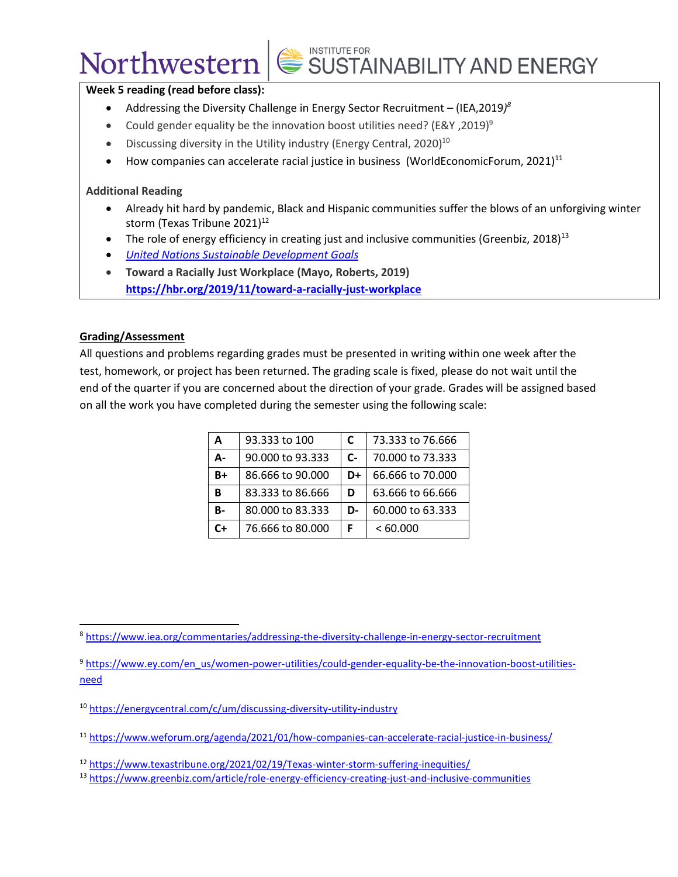### Northwestern

## SUSTAINABILITY AND ENERGY

#### **Week 5 reading (read before class):**

- Addressing the Diversity Challenge in Energy Sector Recruitment (IEA,2019*) 8*
- Could gender equality be the innovation boost utilities need? (E&Y, 2019)<sup>9</sup>
- Discussing diversity in the Utility industry (Energy Central, 2020)<sup>10</sup>
- How companies can accelerate racial justice in business (WorldEconomicForum, 2021)<sup>11</sup>

#### **Additional Reading**

- Already hit hard by pandemic, Black and Hispanic communities suffer the blows of an unforgiving winter storm (Texas Tribune 2021) $12$
- The role of energy efficiency in creating just and inclusive communities (Greenbiz, 2018)<sup>13</sup>
- *[United Nations Sustainable Development Goals](https://sdgs.un.org/goals)*
- **Toward a Racially Just Workplace (Mayo, Roberts, 2019) <https://hbr.org/2019/11/toward-a-racially-just-workplace>**

#### **Grading/Assessment**

All questions and problems regarding grades must be presented in writing within one week after the test, homework, or project has been returned. The grading scale is fixed, please do not wait until the end of the quarter if you are concerned about the direction of your grade. Grades will be assigned based on all the work you have completed during the semester using the following scale:

| A         | 93.333 to 100    | C     | 73.333 to 76.666 |
|-----------|------------------|-------|------------------|
| А-        | 90.000 to 93.333 | $C -$ | 70,000 to 73,333 |
| $B+$      | 86,666 to 90,000 | D+    | 66.666 to 70.000 |
| B         | 83.333 to 86.666 | D     | 63.666 to 66.666 |
| <b>B-</b> | 80.000 to 83.333 | D-    | 60,000 to 63,333 |
| C+        | 76.666 to 80.000 | F     | <60.000          |

- <sup>9</sup> [https://www.ey.com/en\\_us/women-power-utilities/could-gender-equality-be-the-innovation-boost-utilities](https://www.ey.com/en_us/women-power-utilities/could-gender-equality-be-the-innovation-boost-utilities-need)[need](https://www.ey.com/en_us/women-power-utilities/could-gender-equality-be-the-innovation-boost-utilities-need)
- <sup>10</sup> <https://energycentral.com/c/um/discussing-diversity-utility-industry>
- <sup>11</sup> <https://www.weforum.org/agenda/2021/01/how-companies-can-accelerate-racial-justice-in-business/>

<sup>8</sup> <https://www.iea.org/commentaries/addressing-the-diversity-challenge-in-energy-sector-recruitment>

<sup>12</sup> <https://www.texastribune.org/2021/02/19/Texas-winter-storm-suffering-inequities/>

<sup>13</sup> <https://www.greenbiz.com/article/role-energy-efficiency-creating-just-and-inclusive-communities>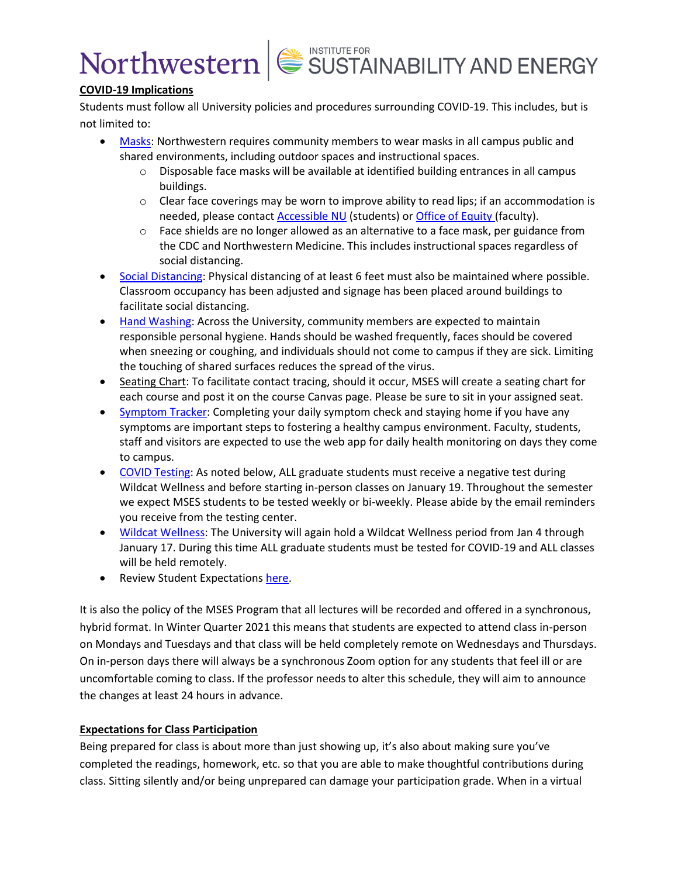### **COVID-19 Implications**

Students must follow all University policies and procedures surrounding COVID-19. This includes, but is not limited to:

- [Masks:](https://www.northwestern.edu/coronavirus-covid-19-updates/academics/instructional-spaces/behaviors-expectations/covid-19-guidelines.html#masks) Northwestern requires community members to wear masks in all campus public and shared environments, including outdoor spaces and instructional spaces.
	- $\circ$  Disposable face masks will be available at identified building entrances in all campus buildings.
	- $\circ$  Clear face coverings may be worn to improve ability to read lips; if an accommodation is needed, please contact [Accessible NU](https://www.northwestern.edu/accessiblenu/) (students) or [Office of Equity](https://www.northwestern.edu/equity/) (faculty).
	- $\circ$  Face shields are no longer allowed as an alternative to a face mask, per guidance from the CDC and Northwestern Medicine. This includes instructional spaces regardless of social distancing.
- [Social Distancing:](https://www.northwestern.edu/coronavirus-covid-19-updates/academics/instructional-spaces/behaviors-expectations/covid-19-guidelines.html#physical) Physical distancing of at least 6 feet must also be maintained where possible. Classroom occupancy has been adjusted and signage has been placed around buildings to facilitate social distancing.
- [Hand Washing:](https://www.northwestern.edu/coronavirus-covid-19-updates/university-status/expectations/guidelines/cleaning-disinfecting-hygiene/index.html) Across the University, community members are expected to maintain responsible personal hygiene. Hands should be washed frequently, faces should be covered when sneezing or coughing, and individuals should not come to campus if they are sick. Limiting the touching of shared surfaces reduces the spread of the virus.
- Seating Chart: To facilitate contact tracing, should it occur, MSES will create a seating chart for each course and post it on the course Canvas page. Please be sure to sit in your assigned seat.
- [Symptom Tracker:](https://www.northwestern.edu/coronavirus-covid-19-updates/health/health-monitoring/symptom-tracker/index.html) Completing your daily symptom check and staying home if you have any symptoms are important steps to fostering a healthy campus environment. Faculty, students, staff and visitors are expected to use the web app for daily health monitoring on days they come to campus.
- [COVID Testing:](https://www.northwestern.edu/coronavirus-covid-19-updates/health/testing/graduate-professional-students.html) As noted below, ALL graduate students must receive a negative test during Wildcat Wellness and before starting in-person classes on January 19. Throughout the semester we expect MSES students to be tested weekly or bi-weekly. Please abide by the email reminders you receive from the testing center.
- [Wildcat Wellness:](https://www.northwestern.edu/coronavirus-covid-19-updates/health/wildcat-wellness/index.html) The University will again hold a Wildcat Wellness period from Jan 4 through January 17. During this time ALL graduate students must be tested for COVID-19 and ALL classes will be held remotely.
- Review Student Expectations [here.](https://www.northwestern.edu/coronavirus-covid-19-updates/academics/instructional-spaces/behaviors-expectations/new-responsibilities.html#student)

It is also the policy of the MSES Program that all lectures will be recorded and offered in a synchronous, hybrid format. In Winter Quarter 2021 this means that students are expected to attend class in-person on Mondays and Tuesdays and that class will be held completely remote on Wednesdays and Thursdays. On in-person days there will always be a synchronous Zoom option for any students that feel ill or are uncomfortable coming to class. If the professor needs to alter this schedule, they will aim to announce the changes at least 24 hours in advance.

### **Expectations for Class Participation**

Being prepared for class is about more than just showing up, it's also about making sure you've completed the readings, homework, etc. so that you are able to make thoughtful contributions during class. Sitting silently and/or being unprepared can damage your participation grade. When in a virtual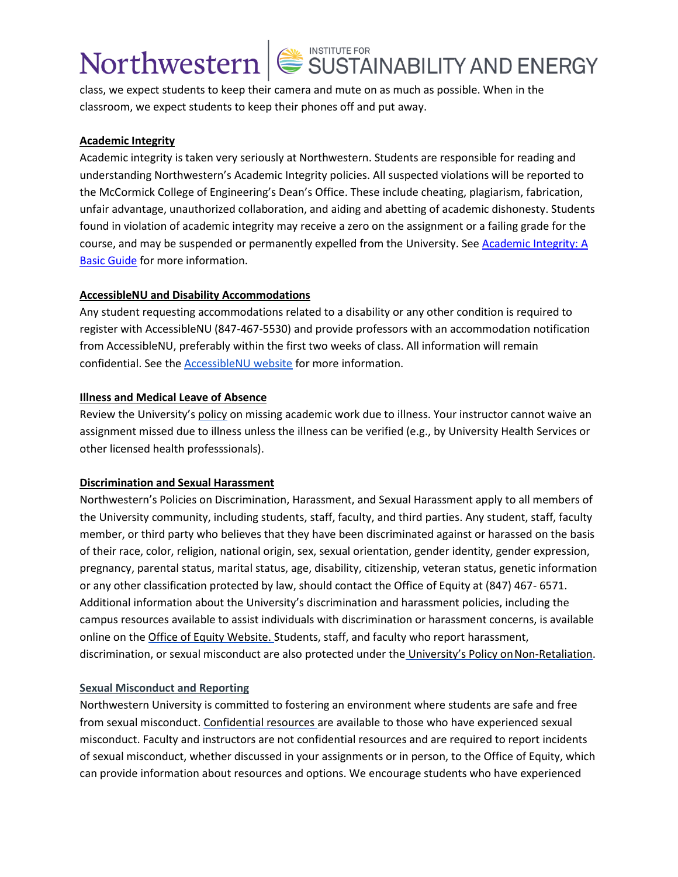class, we expect students to keep their camera and mute on as much as possible. When in the classroom, we expect students to keep their phones off and put away.

#### **Academic Integrity**

Academic integrity is taken very seriously at Northwestern. Students are responsible for reading and understanding Northwestern's Academic Integrity policies. All suspected violations will be reported to the McCormick College of Engineering's Dean's Office. These include cheating, plagiarism, fabrication, unfair advantage, unauthorized collaboration, and aiding and abetting of academic dishonesty. Students found in violation of academic integrity may receive a zero on the assignment or a failing grade for the course, and may be suspended or permanently expelled from the University. See Academic Integrity: A [Basic Guide](https://www.northwestern.edu/provost/policies/academic-integrity/Academic-Integrity-Guide-August-2019.pdf) for more information.

#### **AccessibleNU and Disability Accommodations**

Any student requesting accommodations related to a disability or any other condition is required to register with AccessibleNU (847-467-5530) and provide professors with an accommodation notification from AccessibleNU, preferably within the first two weeks of class. All information will remain confidential. See the [AccessibleNU website](https://www.northwestern.edu/accessiblenu/) for more information.

#### **Illness and Medical Leave of Absence**

Review the University's [policy](https://www.northwestern.edu/healthservice-evanston/policies/academic-work-missed-for-medical-reasons/index.html) on missing academic work due to illness. Your instructor cannot waive an assignment missed due to illness unless the illness can be verified (e.g., by University Health Services or other licensed health professsionals).

#### **Discrimination and Sexual Harassment**

Northwestern's Policies on Discrimination, Harassment, and Sexual Harassment apply to all members of the University community, including students, staff, faculty, and third parties. Any student, staff, faculty member, or third party who believes that they have been discriminated against or harassed on the basis of their race, color, religion, national origin, sex, sexual orientation, gender identity, gender expression, pregnancy, parental status, marital status, age, disability, citizenship, veteran status, genetic information or any other classification protected by law, should contact the Office of Equity at (847) 467- 6571. Additional information about the University's discrimination and harassment policies, including the campus resources available to assist individuals with discrimination or harassment concerns, is available online on the [Office of Equity Website.](https://www.northwestern.edu/equity/) Students, staff, and faculty who report harassment, discrimination, or sexual misconduct are also protected under the [University's Policy on](https://policies.northwestern.edu/docs/non-retaliation-policy-FINAL.pdf) Non-Retaliation.

#### **Sexual Misconduct and Reporting**

Northwestern University is committed to fostering an environment where students are safe and free from sexual misconduct. [Confidential resources a](https://www.northwestern.edu/sexual-misconduct/get-help/confidential-support.html)re available to those who have experienced sexual misconduct. Faculty and instructors are not confidential resources and are required to report incidents of sexual misconduct, whether discussed in your assignments or in person, to the Office of Equity, which can provide information about resources and options. We encourage students who have experienced